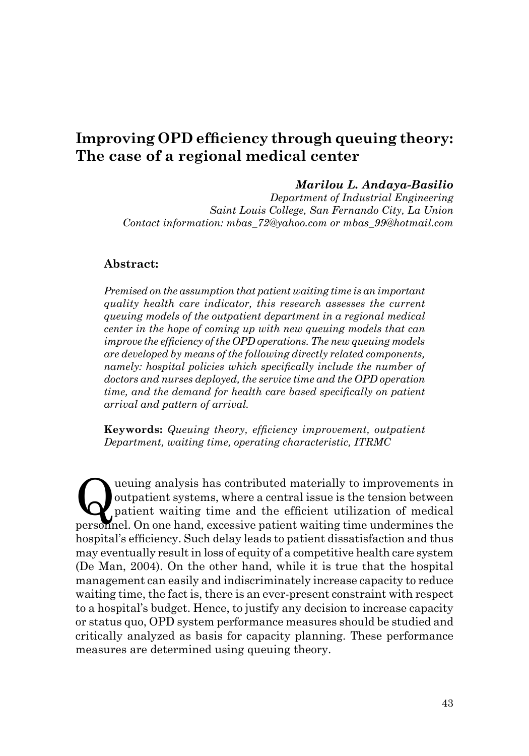# **Improving OPD efficiency through queuing theory: The case of a regional medical center**

#### *Marilou L. Andaya-Basilio*

*Department of Industrial Engineering Saint Louis College, San Fernando City, La Union Contact information: mbas\_72@yahoo.com or mbas\_99@hotmail.com*

#### **Abstract:**

*Premised on the assumption that patient waiting time is an important quality health care indicator, this research assesses the current queuing models of the outpatient department in a regional medical center in the hope of coming up with new queuing models that can improve the efficiency of the OPD operations. The new queuing models are developed by means of the following directly related components, namely: hospital policies which specifically include the number of doctors and nurses deployed, the service time and the OPD operation time, and the demand for health care based specifically on patient arrival and pattern of arrival.* 

**Keywords:** *Queuing theory, efficiency improvement, outpatient Department, waiting time, operating characteristic, ITRMC*

Queuing analysis has contributed materially to improvements in outpatient systems, where a central issue is the tension between patient waiting time and the efficient utilization of medical news and On and all our assume n outpatient systems, where a central issue is the tension between personnel. On one hand, excessive patient waiting time undermines the hospital's efficiency. Such delay leads to patient dissatisfaction and thus may eventually result in loss of equity of a competitive health care system (De Man, 2004). On the other hand, while it is true that the hospital management can easily and indiscriminately increase capacity to reduce waiting time, the fact is, there is an ever-present constraint with respect to a hospital's budget. Hence, to justify any decision to increase capacity or status quo, OPD system performance measures should be studied and critically analyzed as basis for capacity planning. These performance measures are determined using queuing theory.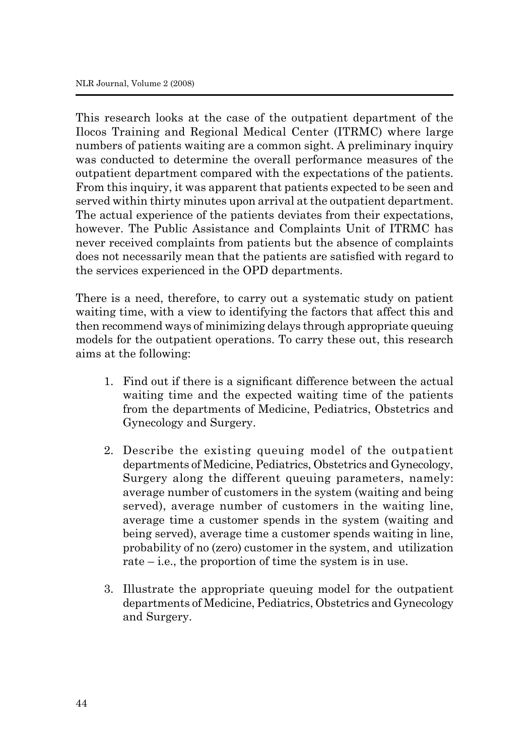This research looks at the case of the outpatient department of the Ilocos Training and Regional Medical Center (ITRMC) where large numbers of patients waiting are a common sight. A preliminary inquiry was conducted to determine the overall performance measures of the outpatient department compared with the expectations of the patients. From this inquiry, it was apparent that patients expected to be seen and served within thirty minutes upon arrival at the outpatient department. The actual experience of the patients deviates from their expectations, however. The Public Assistance and Complaints Unit of ITRMC has never received complaints from patients but the absence of complaints does not necessarily mean that the patients are satisfied with regard to the services experienced in the OPD departments.

There is a need, therefore, to carry out a systematic study on patient waiting time, with a view to identifying the factors that affect this and then recommend ways of minimizing delays through appropriate queuing models for the outpatient operations. To carry these out, this research aims at the following:

- 1. Find out if there is a significant difference between the actual waiting time and the expected waiting time of the patients from the departments of Medicine, Pediatrics, Obstetrics and Gynecology and Surgery.
- 2. Describe the existing queuing model of the outpatient departments of Medicine, Pediatrics, Obstetrics and Gynecology, Surgery along the different queuing parameters, namely: average number of customers in the system (waiting and being served), average number of customers in the waiting line, average time a customer spends in the system (waiting and being served), average time a customer spends waiting in line, probability of no (zero) customer in the system, and utilization rate – i.e., the proportion of time the system is in use.
- 3. Illustrate the appropriate queuing model for the outpatient departments of Medicine, Pediatrics, Obstetrics and Gynecology and Surgery.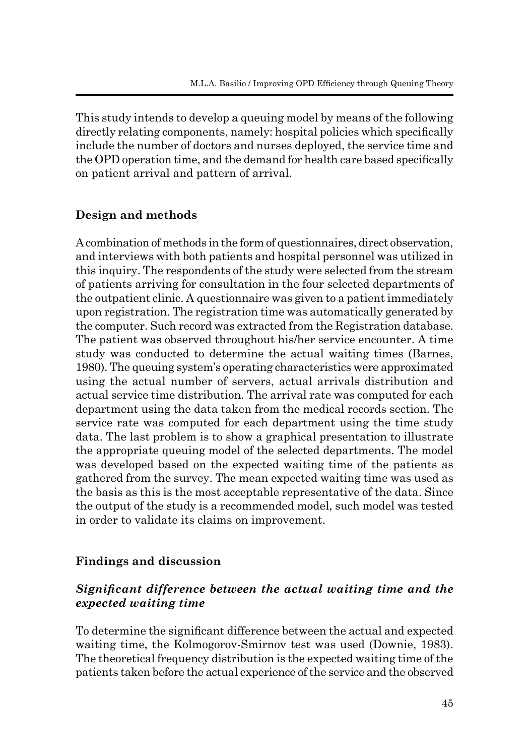This study intends to develop a queuing model by means of the following directly relating components, namely: hospital policies which specifically include the number of doctors and nurses deployed, the service time and the OPD operation time, and the demand for health care based specifically on patient arrival and pattern of arrival.

# **Design and methods**

A combination of methods in the form of questionnaires, direct observation, and interviews with both patients and hospital personnel was utilized in this inquiry. The respondents of the study were selected from the stream of patients arriving for consultation in the four selected departments of the outpatient clinic. A questionnaire was given to a patient immediately upon registration. The registration time was automatically generated by the computer. Such record was extracted from the Registration database. The patient was observed throughout his/her service encounter. A time study was conducted to determine the actual waiting times (Barnes, 1980). The queuing system's operating characteristics were approximated using the actual number of servers, actual arrivals distribution and actual service time distribution. The arrival rate was computed for each department using the data taken from the medical records section. The service rate was computed for each department using the time study data. The last problem is to show a graphical presentation to illustrate the appropriate queuing model of the selected departments. The model was developed based on the expected waiting time of the patients as gathered from the survey. The mean expected waiting time was used as the basis as this is the most acceptable representative of the data. Since the output of the study is a recommended model, such model was tested in order to validate its claims on improvement.

# **Findings and discussion**

# *Significant difference between the actual waiting time and the expected waiting time*

To determine the significant difference between the actual and expected waiting time, the Kolmogorov-Smirnov test was used (Downie, 1983). The theoretical frequency distribution is the expected waiting time of the patients taken before the actual experience of the service and the observed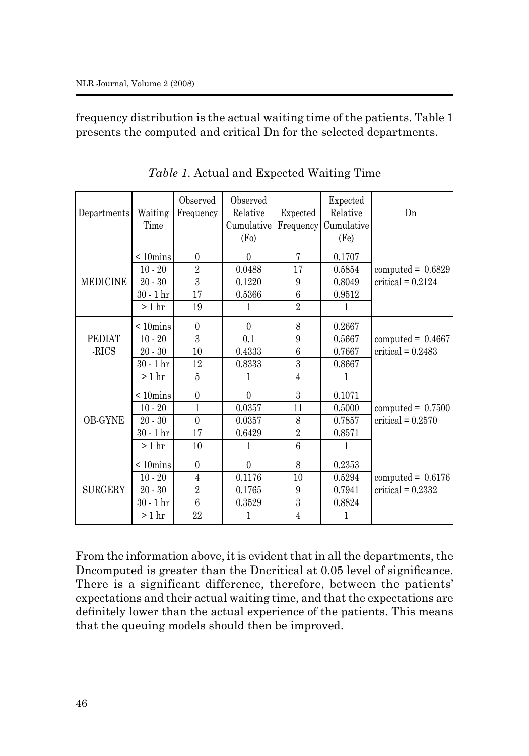frequency distribution is the actual waiting time of the patients. Table 1 presents the computed and critical Dn for the selected departments.

| Departments            | Waiting<br>Time         | Observed<br>Frequency | Observed<br>Relative<br>Cumulative<br>(F <sub>0</sub> ) | Expected<br>Frequency | Expected<br>Relative<br>Cumulative<br>(Fe) | Dn                  |
|------------------------|-------------------------|-----------------------|---------------------------------------------------------|-----------------------|--------------------------------------------|---------------------|
|                        | $< 10$ mins             | $\theta$              | $\theta$                                                | 7                     | 0.1707                                     |                     |
|                        | $10 - 20$               | $\overline{2}$        | 0.0488                                                  | 17                    | 0.5854                                     | computed = $0.6829$ |
| <b>MEDICINE</b>        | $20 - 30$               | 3                     | 0.1220                                                  | $\boldsymbol{9}$      | 0.8049                                     | $critical = 0.2124$ |
|                        | $30 - 1$ hr             | 17                    | 0.5366                                                  | $\boldsymbol{6}$      | 0.9512                                     |                     |
|                        | $>1$ hr                 | 19                    | 1                                                       | $\overline{2}$        | 1                                          |                     |
|                        | $\leq 10 \text{mins}$   | $\theta$              | $\theta$                                                | 8                     | 0.2667                                     |                     |
| <b>PEDIAT</b><br>-RICS | $10 - 20$               | 3                     | 0.1                                                     | $\overline{9}$        | 0.5667                                     | computed = $0.4667$ |
|                        | $20 - 30$               | 10                    | 0.4333                                                  | $\overline{6}$        | 0.7667                                     | critical = $0.2483$ |
|                        | $30 - 1$ hr             | 12                    | 0.8333                                                  | $\overline{3}$        | 0.8667                                     |                     |
|                        | $>1$ hr                 | $\bf 5$               | 1                                                       | $\overline{4}$        | 1                                          |                     |
|                        | $< 10$ mins             | $\theta$              | $\mathbf{0}$                                            | 3                     | 0.1071                                     |                     |
|                        | $10 - 20$               | 1                     | 0.0357                                                  | 11                    | 0.5000                                     | computed = $0.7500$ |
| <b>OB-GYNE</b>         | $20 - 30$               | $\theta$              | 0.0357                                                  | 8                     | 0.7857                                     | $critical = 0.2570$ |
|                        | $30 - 1$ hr             | 17                    | 0.6429                                                  | $\overline{2}$        | 0.8571                                     |                     |
|                        | $>1$ hr                 | 10                    | 1                                                       | $\overline{6}$        | $\mathbf{1}$                               |                     |
|                        | $< 10$ mins             | $\boldsymbol{0}$      | $\mathbf{0}$                                            | 8                     | 0.2353                                     |                     |
|                        | $10 - 20$               | $\overline{4}$        | 0.1176                                                  | 10                    | 0.5294                                     | computed = $0.6176$ |
| <b>SURGERY</b>         | $20 - 30$               | $\overline{2}$        | 0.1765                                                  | 9                     | 0.7941                                     | critical = $0.2332$ |
|                        | $30$ - $1\,\mathrm{hr}$ | $\overline{6}$        | 0.3529                                                  | $\overline{3}$        | 0.8824                                     |                     |
|                        | > 1 hr                  | $22\,$                | 1                                                       | $\,4\,$               | 1                                          |                     |

*Table 1*. Actual and Expected Waiting Time

From the information above, it is evident that in all the departments, the Dncomputed is greater than the Dncritical at 0.05 level of significance. There is a significant difference, therefore, between the patients' expectations and their actual waiting time, and that the expectations are definitely lower than the actual experience of the patients. This means that the queuing models should then be improved.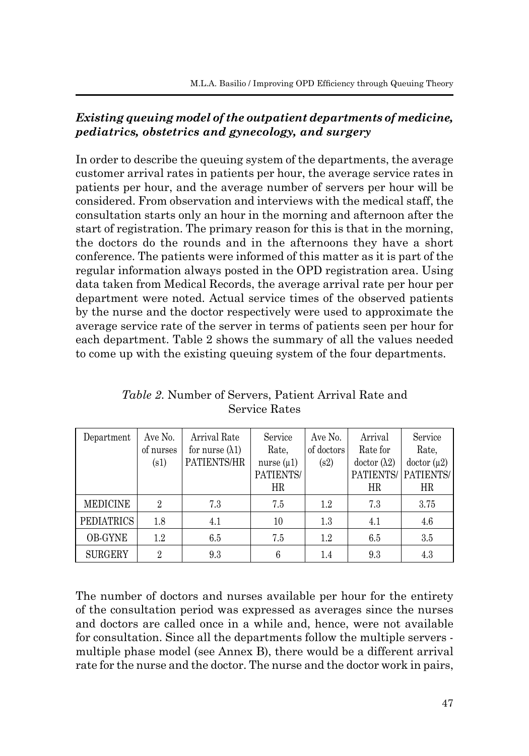# *Existing queuing model of the outpatient departments of medicine, pediatrics, obstetrics and gynecology, and surgery*

In order to describe the queuing system of the departments, the average customer arrival rates in patients per hour, the average service rates in patients per hour, and the average number of servers per hour will be considered. From observation and interviews with the medical staff, the consultation starts only an hour in the morning and afternoon after the start of registration. The primary reason for this is that in the morning, the doctors do the rounds and in the afternoons they have a short conference. The patients were informed of this matter as it is part of the regular information always posted in the OPD registration area. Using data taken from Medical Records, the average arrival rate per hour per department were noted. Actual service times of the observed patients by the nurse and the doctor respectively were used to approximate the average service rate of the server in terms of patients seen per hour for each department. Table 2 shows the summary of all the values needed to come up with the existing queuing system of the four departments.

| Department        | Ave No.        | Arrival Rate            | Service         | Ave No.    | Arrival             | Service    |
|-------------------|----------------|-------------------------|-----------------|------------|---------------------|------------|
|                   | of nurses      | for nurse $(\lambda 1)$ | Rate,           | of doctors | Rate for            | Rate,      |
|                   | (s1)           | PATIENTS/HR             | nurse $(\mu 1)$ | (s2)       | $dotor (\lambda 2)$ | dotor (µ2) |
|                   |                |                         | PATIENTS/       |            | PATIENTS/           | PATIENTS/  |
|                   |                |                         | HR              |            | HR                  | HR         |
| <b>MEDICINE</b>   | $\overline{2}$ | 7.3                     | 7.5             | 1.2        | 7.3                 | 3.75       |
| <b>PEDIATRICS</b> | 1.8            | 4.1                     | 10              | 1.3        | 4.1                 | 4.6        |
| <b>OB-GYNE</b>    | 1.2            | 6.5                     | 7.5             | 1.2        | 6.5                 | 3.5        |
| <b>SURGERY</b>    | $\overline{2}$ | 9.3                     | 6               | 1.4        | 9.3                 | 4.3        |

*Table 2*. Number of Servers, Patient Arrival Rate and Service Rates

The number of doctors and nurses available per hour for the entirety of the consultation period was expressed as averages since the nurses and doctors are called once in a while and, hence, were not available for consultation. Since all the departments follow the multiple servers multiple phase model (see Annex B), there would be a different arrival rate for the nurse and the doctor. The nurse and the doctor work in pairs,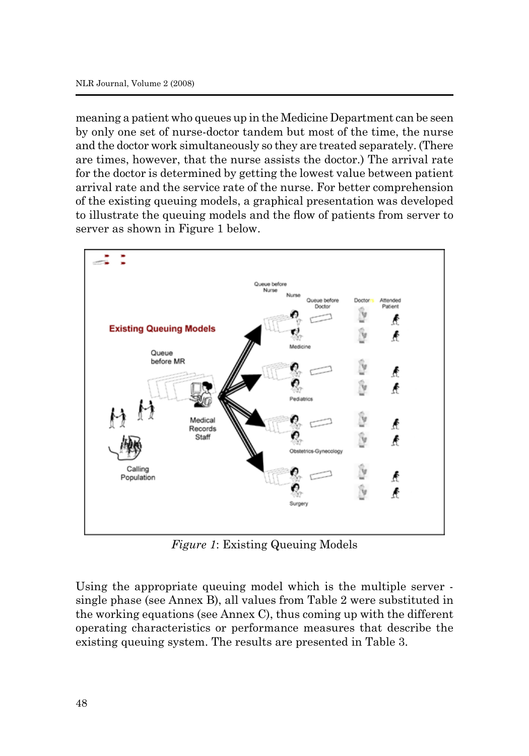meaning a patient who queues up in the Medicine Department can be seen by only one set of nurse-doctor tandem but most of the time, the nurse and the doctor work simultaneously so they are treated separately. (There are times, however, that the nurse assists the doctor.) The arrival rate for the doctor is determined by getting the lowest value between patient arrival rate and the service rate of the nurse. For better comprehension of the existing queuing models, a graphical presentation was developed to illustrate the queuing models and the flow of patients from server to server as shown in Figure 1 below.



*Figure 1*: Existing Queuing Models

Using the appropriate queuing model which is the multiple server single phase (see Annex B), all values from Table 2 were substituted in the working equations (see Annex C), thus coming up with the different operating characteristics or performance measures that describe the existing queuing system. The results are presented in Table 3.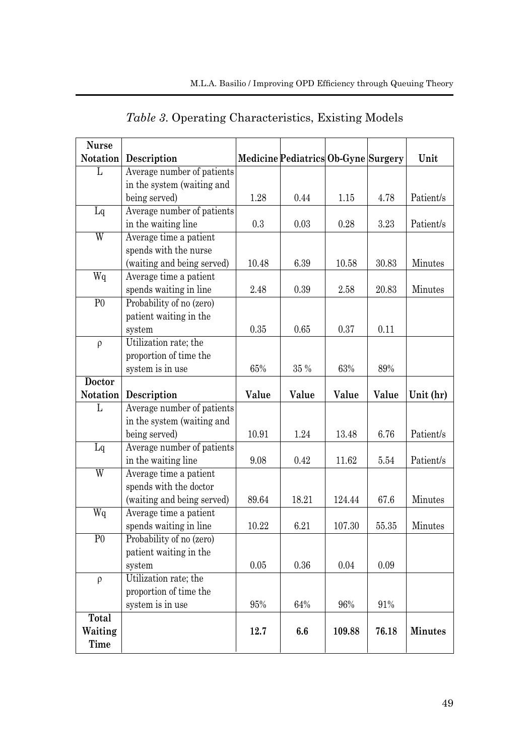| <b>Nurse</b>    |                            |          |                                     |        |       |                |
|-----------------|----------------------------|----------|-------------------------------------|--------|-------|----------------|
| Notation        | Description                |          | Medicine Pediatrics Ob-Gyne Surgery |        |       | Unit           |
| L               | Average number of patients |          |                                     |        |       |                |
|                 | in the system (waiting and |          |                                     |        |       |                |
|                 | being served)              | 1.28     | 0.44                                | 1.15   | 4.78  | Patient/s      |
| Lq              | Average number of patients |          |                                     |        |       |                |
|                 | in the waiting line        | 0.3      | 0.03                                | 0.28   | 3.23  | Patient/s      |
| $\overline{W}$  | Average time a patient     |          |                                     |        |       |                |
|                 | spends with the nurse      |          |                                     |        |       |                |
|                 | (waiting and being served) | 10.48    | 6.39                                | 10.58  | 30.83 | Minutes        |
| Wq              | Average time a patient     |          |                                     |        |       |                |
|                 | spends waiting in line     | 2.48     | 0.39                                | 2.58   | 20.83 | Minutes        |
| $\overline{P}0$ | Probability of no (zero)   |          |                                     |        |       |                |
|                 | patient waiting in the     |          |                                     |        |       |                |
|                 | system                     | 0.35     | 0.65                                | 0.37   | 0.11  |                |
| $\rho$          | Utilization rate; the      |          |                                     |        |       |                |
|                 | proportion of time the     |          |                                     |        |       |                |
|                 | system is in use           | 65%      | 35 %                                | 63%    | 89%   |                |
| <b>Doctor</b>   |                            |          |                                     |        |       |                |
| Notation        | Description                | Value    | Value                               | Value  | Value | Unit (hr)      |
| L               | Average number of patients |          |                                     |        |       |                |
|                 | in the system (waiting and |          |                                     |        |       |                |
|                 | being served)              | 10.91    | 1.24                                | 13.48  | 6.76  | Patient/s      |
| Lq              | Average number of patients |          |                                     |        |       |                |
|                 | in the waiting line        | 9.08     | 0.42                                | 11.62  | 5.54  | Patient/s      |
| $\overline{W}$  | Average time a patient     |          |                                     |        |       |                |
|                 | spends with the doctor     |          |                                     |        |       |                |
|                 | (waiting and being served) | 89.64    | 18.21                               | 124.44 | 67.6  | Minutes        |
| $\overline{Wq}$ | Average time a patient     |          |                                     |        |       |                |
|                 | spends waiting in line     | 10.22    | 6.21                                | 107.30 | 55.35 | Minutes        |
| $\overline{P}0$ | Probability of no (zero)   |          |                                     |        |       |                |
|                 | patient waiting in the     |          |                                     |        |       |                |
|                 | system                     | $0.05\,$ | 0.36                                | 0.04   | 0.09  |                |
| $\rho$          | Utilization rate; the      |          |                                     |        |       |                |
|                 | proportion of time the     |          |                                     |        |       |                |
|                 | system is in use           | $95\%$   | 64%                                 | 96%    | 91%   |                |
| Total           |                            |          |                                     |        |       |                |
| Waiting         |                            | 12.7     | 6.6                                 | 109.88 | 76.18 | <b>Minutes</b> |
| Time            |                            |          |                                     |        |       |                |

*Table 3*. Operating Characteristics, Existing Models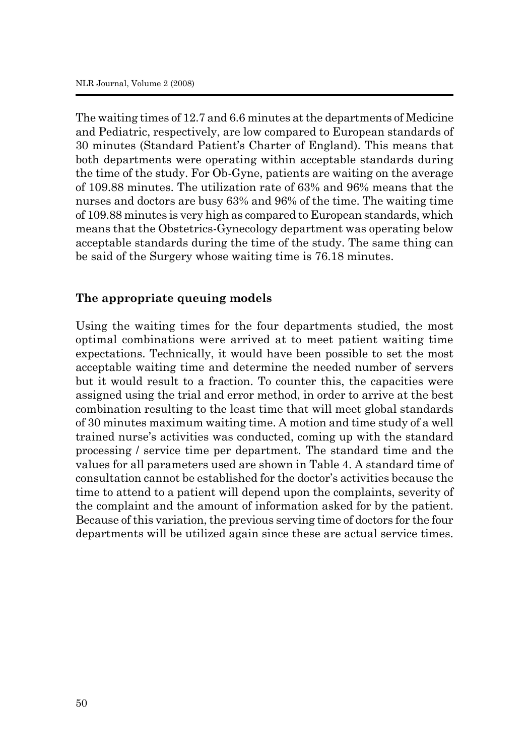The waiting times of 12.7 and 6.6 minutes at the departments of Medicine and Pediatric, respectively, are low compared to European standards of 30 minutes (Standard Patient's Charter of England). This means that both departments were operating within acceptable standards during the time of the study. For Ob-Gyne, patients are waiting on the average of 109.88 minutes. The utilization rate of 63% and 96% means that the nurses and doctors are busy 63% and 96% of the time. The waiting time of 109.88 minutes is very high as compared to European standards, which means that the Obstetrics-Gynecology department was operating below acceptable standards during the time of the study. The same thing can be said of the Surgery whose waiting time is 76.18 minutes.

## **The appropriate queuing models**

Using the waiting times for the four departments studied, the most optimal combinations were arrived at to meet patient waiting time expectations. Technically, it would have been possible to set the most acceptable waiting time and determine the needed number of servers but it would result to a fraction. To counter this, the capacities were assigned using the trial and error method, in order to arrive at the best combination resulting to the least time that will meet global standards of 30 minutes maximum waiting time. A motion and time study of a well trained nurse's activities was conducted, coming up with the standard processing / service time per department. The standard time and the values for all parameters used are shown in Table 4. A standard time of consultation cannot be established for the doctor's activities because the time to attend to a patient will depend upon the complaints, severity of the complaint and the amount of information asked for by the patient. Because of this variation, the previous serving time of doctors for the four departments will be utilized again since these are actual service times.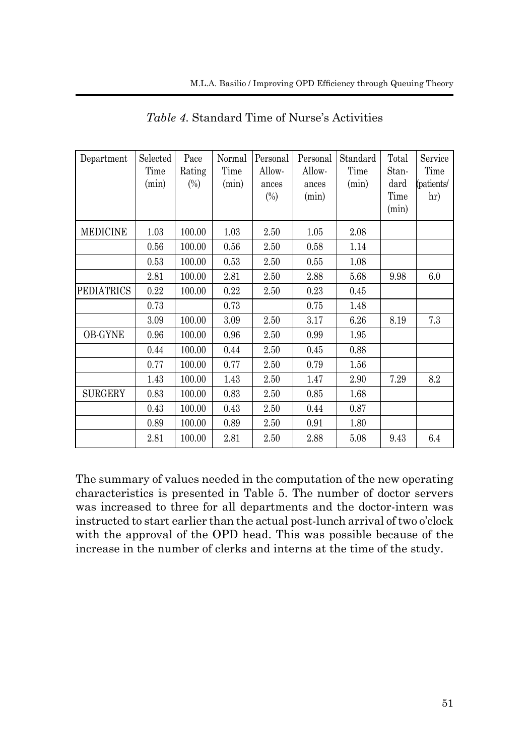| Department      | Selected<br>Time<br>(min) | Pace<br>Rating<br>$(\%)$ | Normal<br>Time<br>(min) | Personal<br>Allow-<br>ances<br>$(\%)$ | Personal<br>Allow-<br>ances<br>(min) | Standard<br>Time<br>(min) | Total<br>Stan-<br>dard<br>Time<br>(min) | Service<br>Time<br>(patients/<br>hr) |
|-----------------|---------------------------|--------------------------|-------------------------|---------------------------------------|--------------------------------------|---------------------------|-----------------------------------------|--------------------------------------|
| <b>MEDICINE</b> | 1.03                      | 100.00                   | 1.03                    | 2.50                                  | 1.05                                 | 2.08                      |                                         |                                      |
|                 | 0.56                      | 100.00                   | 0.56                    | 2.50                                  | 0.58                                 | 1.14                      |                                         |                                      |
|                 | 0.53                      | 100.00                   | 0.53                    | 2.50                                  | 0.55                                 | 1.08                      |                                         |                                      |
|                 | 2.81                      | 100.00                   | 2.81                    | 2.50                                  | 2.88                                 | 5.68                      | 9.98                                    | 6.0                                  |
| PEDIATRICS      | 0.22                      | 100.00                   | 0.22                    | 2.50                                  | 0.23                                 | 0.45                      |                                         |                                      |
|                 | 0.73                      |                          | 0.73                    |                                       | 0.75                                 | 1.48                      |                                         |                                      |
|                 | 3.09                      | 100.00                   | 3.09                    | 2.50                                  | 3.17                                 | 6.26                      | 8.19                                    | 7.3                                  |
| <b>OB-GYNE</b>  | 0.96                      | 100.00                   | 0.96                    | 2.50                                  | 0.99                                 | 1.95                      |                                         |                                      |
|                 | 0.44                      | 100.00                   | 0.44                    | 2.50                                  | 0.45                                 | 0.88                      |                                         |                                      |
|                 | 0.77                      | 100.00                   | 0.77                    | 2.50                                  | 0.79                                 | 1.56                      |                                         |                                      |
|                 | 1.43                      | 100.00                   | 1.43                    | 2.50                                  | 1.47                                 | 2.90                      | 7.29                                    | 8.2                                  |
| <b>SURGERY</b>  | 0.83                      | 100.00                   | 0.83                    | 2.50                                  | 0.85                                 | 1.68                      |                                         |                                      |
|                 | 0.43                      | 100.00                   | 0.43                    | 2.50                                  | 0.44                                 | 0.87                      |                                         |                                      |
|                 | 0.89                      | 100.00                   | 0.89                    | 2.50                                  | 0.91                                 | 1.80                      |                                         |                                      |
|                 | 2.81                      | 100.00                   | 2.81                    | 2.50                                  | 2.88                                 | 5.08                      | 9.43                                    | 6.4                                  |

*Table 4*. Standard Time of Nurse's Activities

The summary of values needed in the computation of the new operating characteristics is presented in Table 5. The number of doctor servers was increased to three for all departments and the doctor-intern was instructed to start earlier than the actual post-lunch arrival of two o'clock with the approval of the OPD head. This was possible because of the increase in the number of clerks and interns at the time of the study.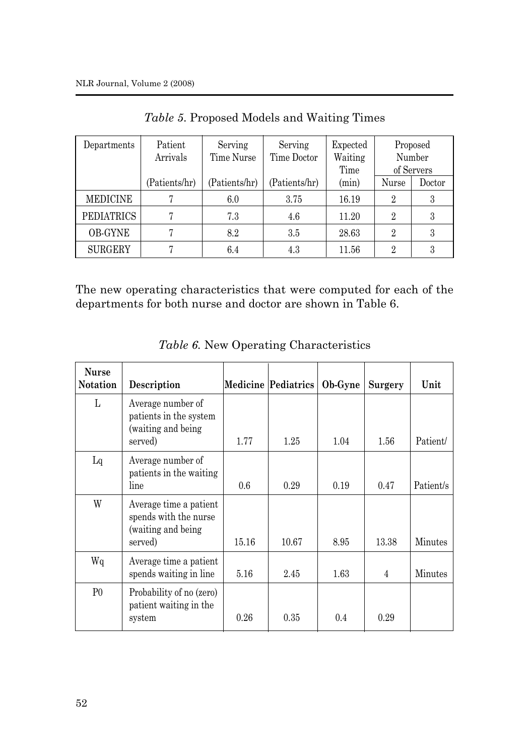| Departments       | Patient<br>Arrivals | Serving<br>Time Nurse | Serving<br>Time Doctor | Expected<br>Waiting<br>Time |                | Proposed<br>Number<br>of Servers |
|-------------------|---------------------|-----------------------|------------------------|-----------------------------|----------------|----------------------------------|
|                   | (Patients/hr)       | (Patients/hr)         | (Patients/hr)          | (min)                       | Nurse          | Doctor                           |
| <b>MEDICINE</b>   |                     | 6.0                   | 3.75                   | 16.19                       | $\overline{2}$ | 3                                |
| <b>PEDIATRICS</b> | 7                   | 7.3                   | 4.6                    | 11.20                       | $\overline{2}$ | 3                                |
| <b>OB-GYNE</b>    | 7                   | 8.2                   | 3.5                    | 28.63                       | $\overline{2}$ | 3                                |
| <b>SURGERY</b>    | Π                   | 6.4                   | 4.3                    | 11.56                       | $\overline{2}$ | 3                                |

*Table 5*. Proposed Models and Waiting Times

The new operating characteristics that were computed for each of the departments for both nurse and doctor are shown in Table 6.

| <b>Nurse</b><br><b>Notation</b> | Description                                                                       |       | <b>Medicine Pediatrics</b> | Ob-Gyne | Surgery | Unit      |
|---------------------------------|-----------------------------------------------------------------------------------|-------|----------------------------|---------|---------|-----------|
| L                               | Average number of<br>patients in the system<br>(waiting and being)<br>served)     | 1.77  | 1.25                       | 1.04    | 1.56    | Patient/  |
| Lq                              | Average number of<br>patients in the waiting<br>line                              | 0.6   | 0.29                       | 0.19    | 0.47    | Patient/s |
| W                               | Average time a patient<br>spends with the nurse<br>(waiting and being)<br>served) | 15.16 | 10.67                      | 8.95    | 13.38   | Minutes   |
| Wq                              | Average time a patient<br>spends waiting in line                                  | 5.16  | 2.45                       | 1.63    | 4       | Minutes   |
| P <sub>0</sub>                  | Probability of no (zero)<br>patient waiting in the<br>system                      | 0.26  | 0.35                       | 0.4     | 0.29    |           |

*Table 6.* New Operating Characteristics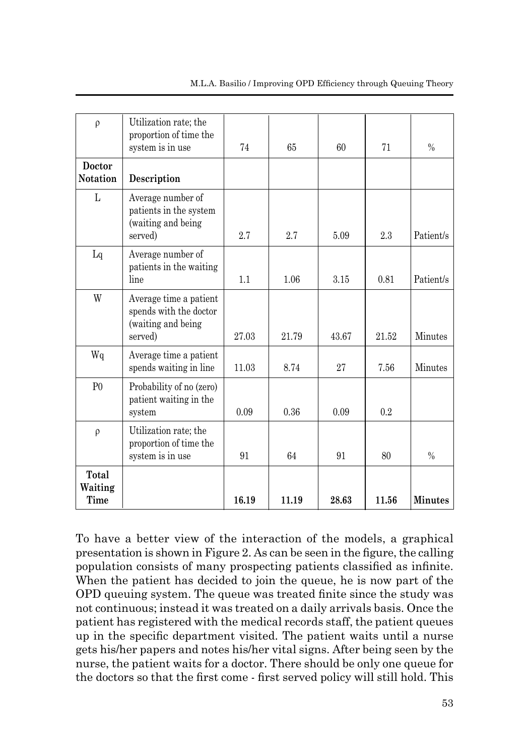| $\rho$                    | Utilization rate; the<br>proportion of time the                                   |       |       |       |       |                |
|---------------------------|-----------------------------------------------------------------------------------|-------|-------|-------|-------|----------------|
|                           | system is in use                                                                  | 74    | 65    | 60    | 71    | $\frac{0}{0}$  |
| Doctor<br><b>Notation</b> | Description                                                                       |       |       |       |       |                |
| L                         | Average number of<br>patients in the system<br>(waiting and being<br>served)      | 2.7   | 2.7   | 5.09  | 2.3   | Patient/s      |
| Lq                        | Average number of<br>patients in the waiting<br>line                              | 1.1   | 1.06  | 3.15  | 0.81  | Patient/s      |
| W                         | Average time a patient<br>spends with the doctor<br>(waiting and being<br>served) | 27.03 | 21.79 | 43.67 | 21.52 | Minutes        |
| Wq                        | Average time a patient<br>spends waiting in line                                  | 11.03 | 8.74  | 27    | 7.56  | Minutes        |
| P <sub>0</sub>            | Probability of no (zero)<br>patient waiting in the<br>system                      | 0.09  | 0.36  | 0.09  | 0.2   |                |
| $\rho$                    | Utilization rate; the<br>proportion of time the<br>system is in use               | 91    | 64    | 91    | 80    | $\frac{0}{0}$  |
| Total<br>Waiting<br>Time  |                                                                                   | 16.19 | 11.19 | 28.63 | 11.56 | <b>Minutes</b> |

To have a better view of the interaction of the models, a graphical presentation is shown in Figure 2. As can be seen in the figure, the calling population consists of many prospecting patients classified as infinite. When the patient has decided to join the queue, he is now part of the OPD queuing system. The queue was treated finite since the study was not continuous; instead it was treated on a daily arrivals basis. Once the patient has registered with the medical records staff, the patient queues up in the specific department visited. The patient waits until a nurse gets his/her papers and notes his/her vital signs. After being seen by the nurse, the patient waits for a doctor. There should be only one queue for the doctors so that the first come - first served policy will still hold. This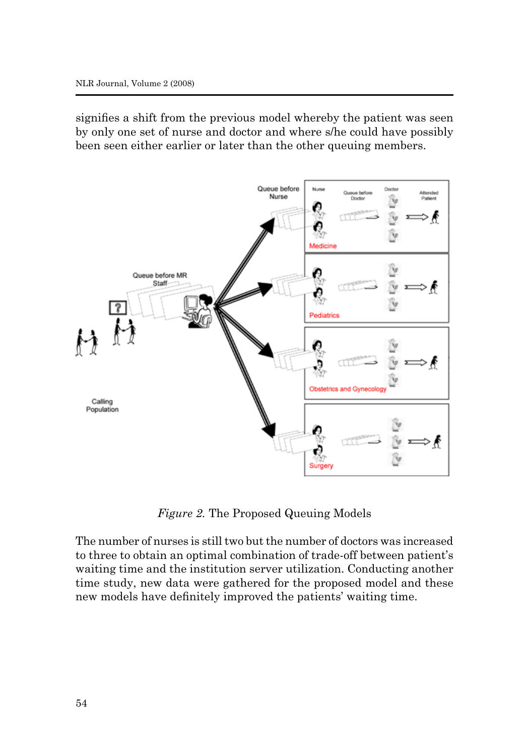signifies a shift from the previous model whereby the patient was seen by only one set of nurse and doctor and where s/he could have possibly been seen either earlier or later than the other queuing members.



*Figure 2.* The Proposed Queuing Models

The number of nurses is still two but the number of doctors was increased to three to obtain an optimal combination of trade-off between patient's waiting time and the institution server utilization. Conducting another time study, new data were gathered for the proposed model and these new models have definitely improved the patients' waiting time.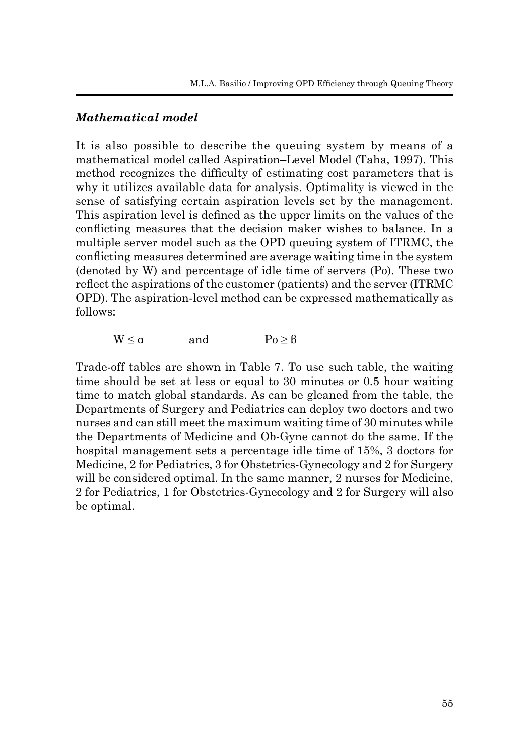## *Mathematical model*

It is also possible to describe the queuing system by means of a mathematical model called Aspiration–Level Model (Taha, 1997). This method recognizes the difficulty of estimating cost parameters that is why it utilizes available data for analysis. Optimality is viewed in the sense of satisfying certain aspiration levels set by the management. This aspiration level is defined as the upper limits on the values of the conflicting measures that the decision maker wishes to balance. In a multiple server model such as the OPD queuing system of ITRMC, the conflicting measures determined are average waiting time in the system (denoted by W) and percentage of idle time of servers (Po). These two reflect the aspirations of the customer (patients) and the server (ITRMC OPD). The aspiration-level method can be expressed mathematically as follows:

 $W \le \alpha$  and  $P_0 \ge \beta$ 

Trade-off tables are shown in Table 7. To use such table, the waiting time should be set at less or equal to 30 minutes or 0.5 hour waiting time to match global standards. As can be gleaned from the table, the Departments of Surgery and Pediatrics can deploy two doctors and two nurses and can still meet the maximum waiting time of 30 minutes while the Departments of Medicine and Ob-Gyne cannot do the same. If the hospital management sets a percentage idle time of 15%, 3 doctors for Medicine, 2 for Pediatrics, 3 for Obstetrics-Gynecology and 2 for Surgery will be considered optimal. In the same manner, 2 nurses for Medicine, 2 for Pediatrics, 1 for Obstetrics-Gynecology and 2 for Surgery will also be optimal.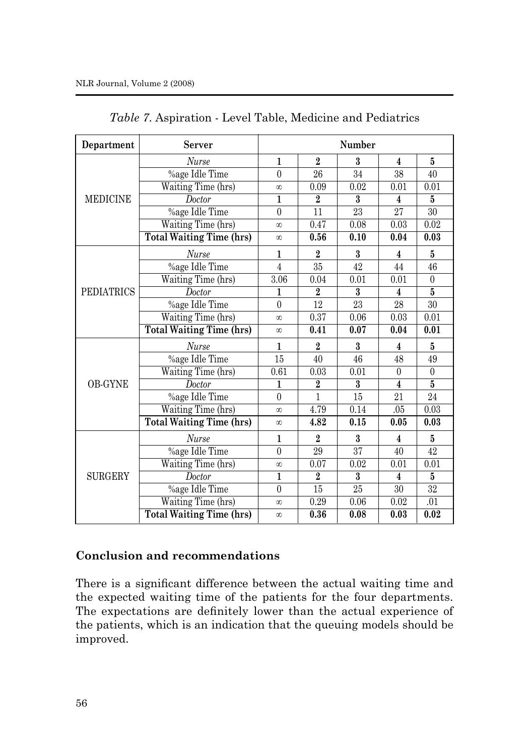| Department        | Server                          | Number            |                  |                 |                         |                   |
|-------------------|---------------------------------|-------------------|------------------|-----------------|-------------------------|-------------------|
|                   | <b>Nurse</b>                    | $\mathbf{1}$      | $\overline{2}$   | 3               | $\overline{\mathbf{4}}$ | 5                 |
|                   | %age Idle Time                  | $\theta$          | 26               | 34              | 38                      | 40                |
|                   | Waiting Time (hrs)              | $\infty$          | 0.09             | 0.02            | 0.01                    | 0.01              |
| <b>MEDICINE</b>   | Doctor                          | 1                 | $\overline{2}$   | 3               | 4                       | 5                 |
|                   | %age Idle Time                  | $\boldsymbol{0}$  | 11               | 23              | 27                      | 30                |
|                   | Waiting Time (hrs)              | $\infty$          | 0.47             | 0.08            | 0.03                    | 0.02              |
|                   | <b>Total Waiting Time (hrs)</b> | $\infty$          | 0.56             | 0.10            | 0.04                    | 0.03              |
|                   | <b>Nurse</b>                    | $\mathbf{1}$      | $\overline{2}$   | $\mathbf{3}$    | 4                       | 5                 |
|                   | %age Idle Time                  | 4                 | 35               | 42              | 44                      | 46                |
|                   | Waiting Time (hrs)              | $\overline{3.06}$ | 0.04             | 0.01            | 0.01                    | $\overline{0}$    |
| <b>PEDIATRICS</b> | Doctor                          | 1                 | $\overline{2}$   | $\overline{3}$  | $\overline{\mathbf{4}}$ | $\overline{5}$    |
|                   | %age Idle Time                  | $\theta$          | 12               | 23              | 28                      | 30                |
|                   | Waiting Time (hrs)              | $\infty$          | 0.37             | 0.06            | 0.03                    | 0.01              |
|                   | <b>Total Waiting Time (hrs)</b> | $^\infty$         | 0.41             | 0.07            | 0.04                    | $\overline{0.01}$ |
|                   | <b>Nurse</b>                    | $\mathbf{1}$      | $\overline{2}$   | $\bf{3}$        | 4                       | 5                 |
|                   | %age Idle Time                  | 15                | 40               | 46              | 48                      | 49                |
|                   | Waiting Time (hrs)              | 0.61              | 0.03             | 0.01            | $\boldsymbol{0}$        | $\overline{0}$    |
| <b>OB-GYNE</b>    | Doctor                          | 1                 | $\overline{2}$   | 3               | $\overline{\mathbf{4}}$ | $\overline{5}$    |
|                   | %age Idle Time                  | $\theta$          | 1                | 15              | 21                      | 24                |
|                   | Waiting Time (hrs)              | $\infty$          | 4.79             | 0.14            | .05                     | 0.03              |
|                   | <b>Total Waiting Time (hrs)</b> | $\infty$          | 4.82             | 0.15            | 0.05                    | 0.03              |
|                   | <b>Nurse</b>                    | $\mathbf{1}$      | $\boldsymbol{2}$ | 3               | 4                       | 5                 |
|                   | %age Idle Time                  | $\theta$          | 29               | $\overline{37}$ | 40                      | 42                |
|                   | Waiting Time (hrs)              | $\infty$          | 0.07             | 0.02            | 0.01                    | 0.01              |
| <b>SURGERY</b>    | Doctor                          | $\mathbf{1}$      | $\overline{2}$   | 3               | 4                       | $\bf{5}$          |
|                   | %age Idle Time                  | $\boldsymbol{0}$  | 15               | 25              | 30                      | $32\,$            |
|                   | Waiting Time (hrs)              | $\infty$          | 0.29             | 0.06            | 0.02                    | .01               |
|                   | <b>Total Waiting Time (hrs)</b> | $^\infty$         | 0.36             | 0.08            | 0.03                    | 0.02              |

*Table 7*. Aspiration - Level Table, Medicine and Pediatrics

## **Conclusion and recommendations**

There is a significant difference between the actual waiting time and the expected waiting time of the patients for the four departments. The expectations are definitely lower than the actual experience of the patients, which is an indication that the queuing models should be improved.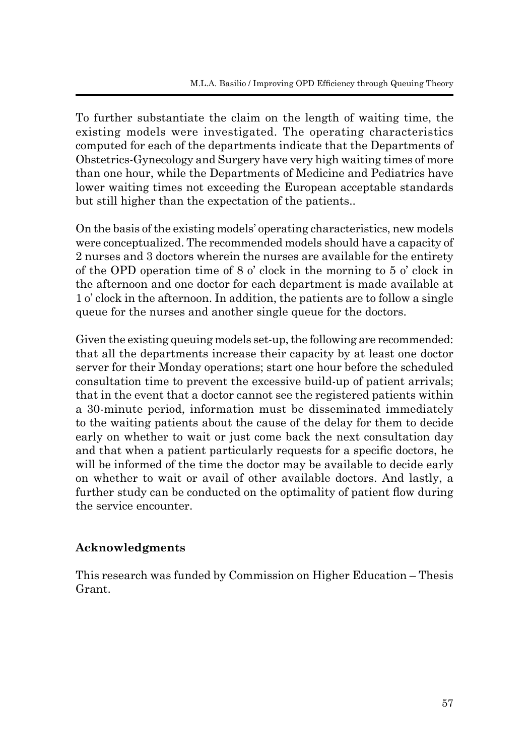To further substantiate the claim on the length of waiting time, the existing models were investigated. The operating characteristics computed for each of the departments indicate that the Departments of Obstetrics-Gynecology and Surgery have very high waiting times of more than one hour, while the Departments of Medicine and Pediatrics have lower waiting times not exceeding the European acceptable standards but still higher than the expectation of the patients..

On the basis of the existing models' operating characteristics, new models were conceptualized. The recommended models should have a capacity of 2 nurses and 3 doctors wherein the nurses are available for the entirety of the OPD operation time of 8 o' clock in the morning to 5 o' clock in the afternoon and one doctor for each department is made available at 1 o' clock in the afternoon. In addition, the patients are to follow a single queue for the nurses and another single queue for the doctors.

Given the existing queuing models set-up, the following are recommended: that all the departments increase their capacity by at least one doctor server for their Monday operations; start one hour before the scheduled consultation time to prevent the excessive build-up of patient arrivals; that in the event that a doctor cannot see the registered patients within a 30-minute period, information must be disseminated immediately to the waiting patients about the cause of the delay for them to decide early on whether to wait or just come back the next consultation day and that when a patient particularly requests for a specific doctors, he will be informed of the time the doctor may be available to decide early on whether to wait or avail of other available doctors. And lastly, a further study can be conducted on the optimality of patient flow during the service encounter.

# **Acknowledgments**

This research was funded by Commission on Higher Education – Thesis Grant.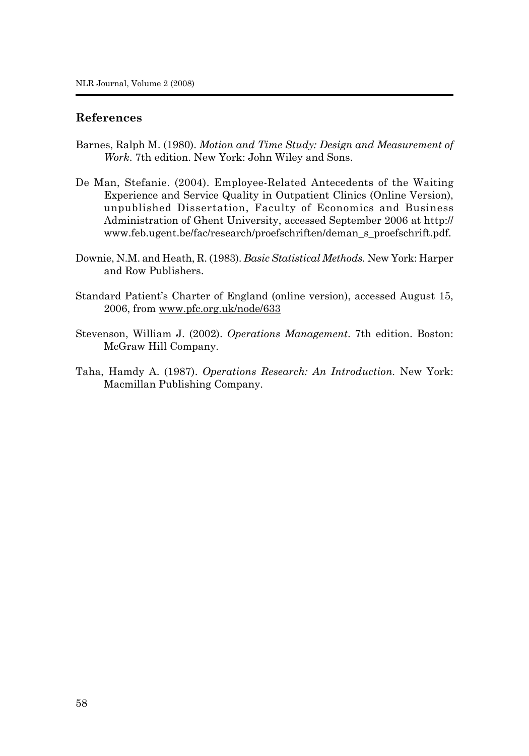#### **References**

- Barnes, Ralph M. (1980). *Motion and Time Study: Design and Measurement of Work*. 7th edition. New York: John Wiley and Sons.
- De Man, Stefanie. (2004). Employee-Related Antecedents of the Waiting Experience and Service Quality in Outpatient Clinics (Online Version), unpublished Dissertation, Faculty of Economics and Business Administration of Ghent University, accessed September 2006 at http:// www.feb.ugent.be/fac/research/proefschriften/deman\_s\_proefschrift.pdf.
- Downie, N.M. and Heath, R. (1983). *Basic Statistical Methods.* New York: Harper and Row Publishers.
- Standard Patient's Charter of England (online version), accessed August 15, 2006, from www.pfc.org.uk/node/633
- Stevenson, William J. (2002). *Operations Management*. 7th edition. Boston: McGraw Hill Company.
- Taha, Hamdy A. (1987). *Operations Research: An Introduction.* New York: Macmillan Publishing Company.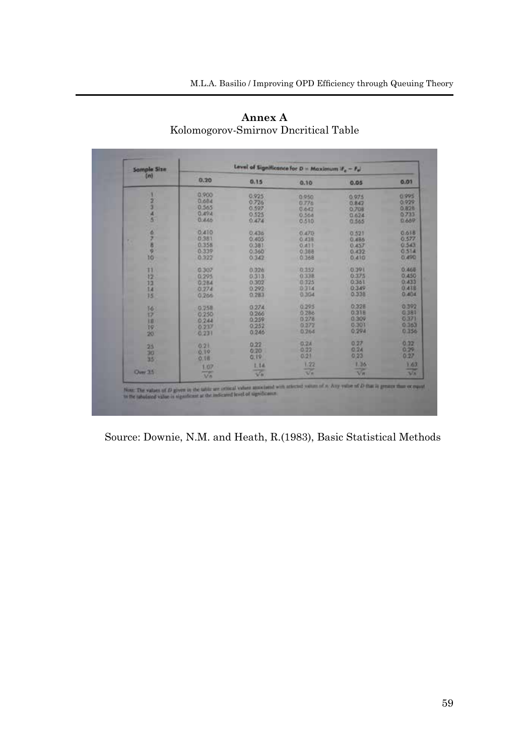| [ <i>m</i> ]                 | 0.20                                               | 0.15                                                  | 0.10                                      | 0.05                                                      | 0.01                                                 |
|------------------------------|----------------------------------------------------|-------------------------------------------------------|-------------------------------------------|-----------------------------------------------------------|------------------------------------------------------|
| $\frac{2}{3}$                | 0.900<br>0.684<br>0.565<br>0.49A<br>0.445          | 0.925<br>0.726<br>0.597<br>0.525<br>0.474             | 0.950<br>0.778<br>0.642<br>0.564<br>0.515 | 0.975<br>0.847<br>0.708<br>0.624<br>0.565                 | 0.995<br>0.929<br>0.828<br>0.733<br>0.689            |
| ø<br>z<br>×.<br>B<br>w<br>10 | 0.410<br>0.381<br>0.358<br>0.339<br>0.322          | 0.436<br>0.405<br>0.381<br>0.360<br>0.342             | 0.470<br>0.438<br>O.ATT<br>0.388<br>0.368 | 0.521<br>0.486<br>0.457<br>0.432<br>0.410                 | 0.618<br>0.577<br>0.543<br>0.514<br>0.490            |
| Ħ<br>12<br>13<br>14<br>35    | 0.307<br>0.295<br>0.284<br>0.274<br>0.266          | 0.326<br>0.313<br>0.302<br>0.292<br>0.283             | 0.352<br>0.338<br>0.325<br>0.314<br>0.304 | 0.391<br>0.375<br>0.361<br>0.349<br>0.338                 | 0.465<br>0.450<br>0.433<br>0.418<br>0.404            |
| 16<br>17<br>IB.<br>19<br>20  | 0.258<br>0.250<br>0.244<br>0.237<br>0.233          | 0.274<br>0266<br>0.252<br>0.246                       | 0.295<br>0.286<br>0.278<br>0.272<br>0.264 | 0.328<br>0.318<br>0.309<br>0.301<br>0.294                 | 0.392<br>0.381<br>0371<br>0.363<br>0.356             |
| 25<br>30<br>35<br>Over 35    | 0.21<br>0.19<br>0.18<br>1.07<br><b>Horse</b><br>Mn | 0.22<br>0.20<br>0.19<br>1.14<br>$\overline{\sqrt{n}}$ | 0.24<br>0.22<br>0:21<br>1/22<br>उन        | 0.27<br>$Q$ $2A$<br>0.23<br>1.36<br>$\overline{\sqrt{n}}$ | 0.22<br>0.29<br>0.27<br>1.63<br>--<br>V <sub>n</sub> |

**Annex A** Kolomogorov-Smirnov Dncritical Table

Source: Downie, N.M. and Heath, R.(1983), Basic Statistical Methods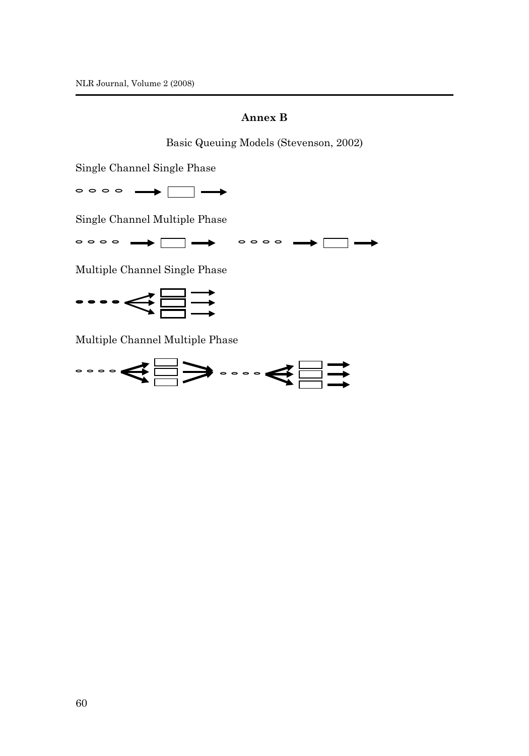#### **Annex B**

Basic Queuing Models (Stevenson, 2002)

Single Channel Single Phase

Single Channel Multiple Phase

◦◦◦◦ ➡ □ ➡ ◦◦◦ ➡ □ ➡

Multiple Channel Single Phase



Multiple Channel Multiple Phase